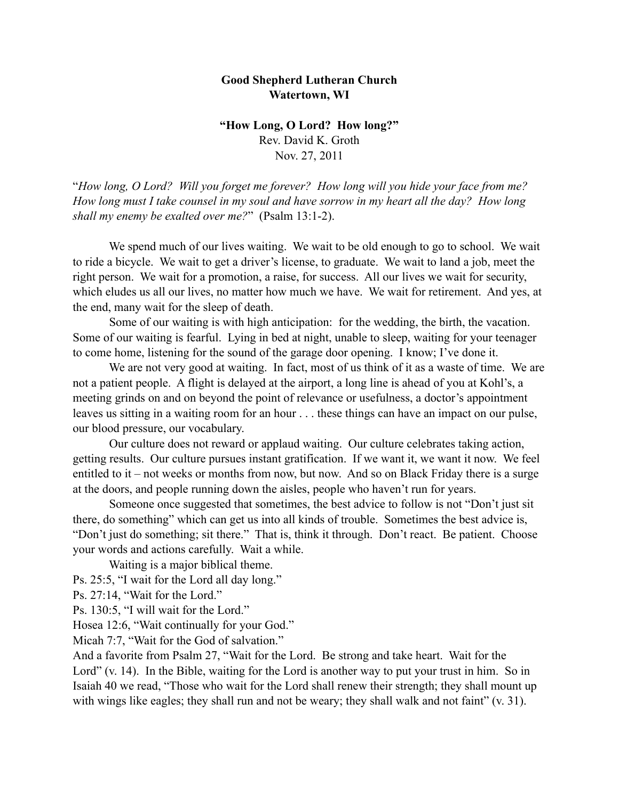## **Good Shepherd Lutheran Church Watertown, WI**

**"How Long, O Lord? How long?"** Rev. David K. Groth Nov. 27, 2011

"*How long, O Lord? Will you forget me forever? How long will you hide your face from me? How long must I take counsel in my soul and have sorrow in my heart all the day? How long shall my enemy be exalted over me?*" (Psalm 13:1-2).

 We spend much of our lives waiting. We wait to be old enough to go to school. We wait to ride a bicycle. We wait to get a driver's license, to graduate. We wait to land a job, meet the right person. We wait for a promotion, a raise, for success. All our lives we wait for security, which eludes us all our lives, no matter how much we have. We wait for retirement. And yes, at the end, many wait for the sleep of death.

 Some of our waiting is with high anticipation: for the wedding, the birth, the vacation. Some of our waiting is fearful. Lying in bed at night, unable to sleep, waiting for your teenager to come home, listening for the sound of the garage door opening. I know; I've done it.

We are not very good at waiting. In fact, most of us think of it as a waste of time. We are not a patient people. A flight is delayed at the airport, a long line is ahead of you at Kohl's, a meeting grinds on and on beyond the point of relevance or usefulness, a doctor's appointment leaves us sitting in a waiting room for an hour . . . these things can have an impact on our pulse, our blood pressure, our vocabulary.

 Our culture does not reward or applaud waiting. Our culture celebrates taking action, getting results. Our culture pursues instant gratification. If we want it, we want it now. We feel entitled to it – not weeks or months from now, but now. And so on Black Friday there is a surge at the doors, and people running down the aisles, people who haven't run for years.

 Someone once suggested that sometimes, the best advice to follow is not "Don't just sit there, do something" which can get us into all kinds of trouble. Sometimes the best advice is, "Don't just do something; sit there." That is, think it through. Don't react. Be patient. Choose your words and actions carefully. Wait a while.

Waiting is a major biblical theme.

Ps. 25:5, "I wait for the Lord all day long."

Ps. 27:14, "Wait for the Lord."

Ps. 130:5, "I will wait for the Lord."

Hosea 12:6, "Wait continually for your God."

Micah 7:7, "Wait for the God of salvation."

And a favorite from Psalm 27, "Wait for the Lord. Be strong and take heart. Wait for the Lord" (v. 14). In the Bible, waiting for the Lord is another way to put your trust in him. So in Isaiah 40 we read, "Those who wait for the Lord shall renew their strength; they shall mount up with wings like eagles; they shall run and not be weary; they shall walk and not faint" (v. 31).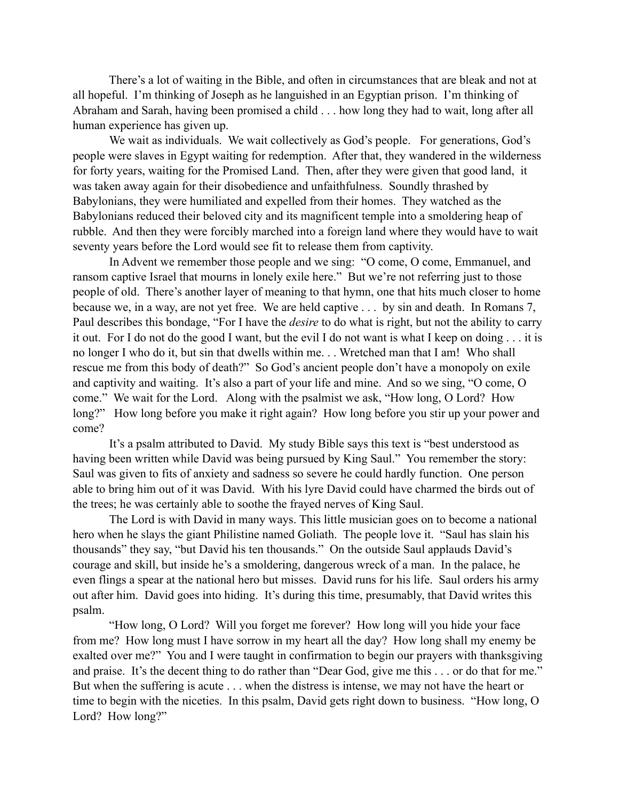There's a lot of waiting in the Bible, and often in circumstances that are bleak and not at all hopeful. I'm thinking of Joseph as he languished in an Egyptian prison. I'm thinking of Abraham and Sarah, having been promised a child . . . how long they had to wait, long after all human experience has given up.

We wait as individuals. We wait collectively as God's people. For generations, God's people were slaves in Egypt waiting for redemption. After that, they wandered in the wilderness for forty years, waiting for the Promised Land. Then, after they were given that good land, it was taken away again for their disobedience and unfaithfulness. Soundly thrashed by Babylonians, they were humiliated and expelled from their homes. They watched as the Babylonians reduced their beloved city and its magnificent temple into a smoldering heap of rubble. And then they were forcibly marched into a foreign land where they would have to wait seventy years before the Lord would see fit to release them from captivity.

 In Advent we remember those people and we sing: "O come, O come, Emmanuel, and ransom captive Israel that mourns in lonely exile here." But we're not referring just to those people of old. There's another layer of meaning to that hymn, one that hits much closer to home because we, in a way, are not yet free. We are held captive . . . by sin and death. In Romans 7, Paul describes this bondage, "For I have the *desire* to do what is right, but not the ability to carry it out. For I do not do the good I want, but the evil I do not want is what I keep on doing . . . it is no longer I who do it, but sin that dwells within me. . . Wretched man that I am! Who shall rescue me from this body of death?" So God's ancient people don't have a monopoly on exile and captivity and waiting. It's also a part of your life and mine. And so we sing, "O come, O come." We wait for the Lord. Along with the psalmist we ask, "How long, O Lord? How long?" How long before you make it right again? How long before you stir up your power and come?

It's a psalm attributed to David. My study Bible says this text is "best understood as having been written while David was being pursued by King Saul." You remember the story: Saul was given to fits of anxiety and sadness so severe he could hardly function. One person able to bring him out of it was David. With his lyre David could have charmed the birds out of the trees; he was certainly able to soothe the frayed nerves of King Saul.

The Lord is with David in many ways. This little musician goes on to become a national hero when he slays the giant Philistine named Goliath. The people love it. "Saul has slain his thousands" they say, "but David his ten thousands." On the outside Saul applauds David's courage and skill, but inside he's a smoldering, dangerous wreck of a man. In the palace, he even flings a spear at the national hero but misses. David runs for his life. Saul orders his army out after him. David goes into hiding. It's during this time, presumably, that David writes this psalm.

 "How long, O Lord? Will you forget me forever? How long will you hide your face from me? How long must I have sorrow in my heart all the day? How long shall my enemy be exalted over me?" You and I were taught in confirmation to begin our prayers with thanksgiving and praise. It's the decent thing to do rather than "Dear God, give me this . . . or do that for me." But when the suffering is acute . . . when the distress is intense, we may not have the heart or time to begin with the niceties. In this psalm, David gets right down to business. "How long, O Lord? How long?"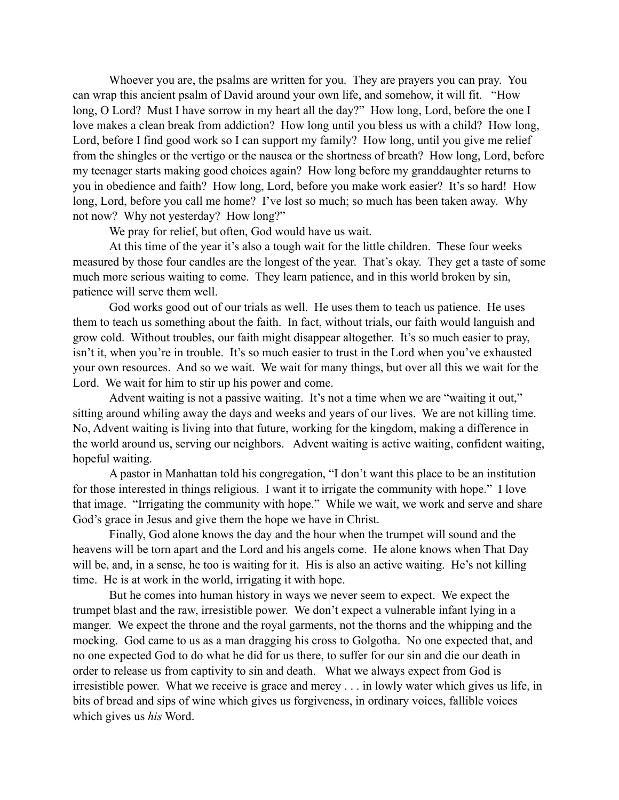Whoever you are, the psalms are written for you. They are prayers you can pray. You can wrap this ancient psalm of David around your own life, and somehow, it will fit. "How long, O Lord? Must I have sorrow in my heart all the day?" How long, Lord, before the one I love makes a clean break from addiction? How long until you bless us with a child? How long, Lord, before I find good work so I can support my family? How long, until you give me relief from the shingles or the vertigo or the nausea or the shortness of breath? How long, Lord, before my teenager starts making good choices again? How long before my granddaughter returns to you in obedience and faith? How long, Lord, before you make work easier? It's so hard! How long, Lord, before you call me home? I've lost so much; so much has been taken away. Why not now? Why not yesterday? How long?"

We pray for relief, but often, God would have us wait.

At this time of the year it's also a tough wait for the little children. These four weeks measured by those four candles are the longest of the year. That's okay. They get a taste of some much more serious waiting to come. They learn patience, and in this world broken by sin, patience will serve them well.

God works good out of our trials as well. He uses them to teach us patience. He uses them to teach us something about the faith. In fact, without trials, our faith would languish and grow cold. Without troubles, our faith might disappear altogether. It's so much easier to pray, isn't it, when you're in trouble. It's so much easier to trust in the Lord when you've exhausted your own resources. And so we wait. We wait for many things, but over all this we wait for the Lord. We wait for him to stir up his power and come.

Advent waiting is not a passive waiting. It's not a time when we are "waiting it out," sitting around whiling away the days and weeks and years of our lives. We are not killing time. No, Advent waiting is living into that future, working for the kingdom, making a difference in the world around us, serving our neighbors. Advent waiting is active waiting, confident waiting, hopeful waiting.

A pastor in Manhattan told his congregation, "I don't want this place to be an institution for those interested in things religious. I want it to irrigate the community with hope." I love that image. "Irrigating the community with hope." While we wait, we work and serve and share God's grace in Jesus and give them the hope we have in Christ.

Finally, God alone knows the day and the hour when the trumpet will sound and the heavens will be torn apart and the Lord and his angels come. He alone knows when That Day will be, and, in a sense, he too is waiting for it. His is also an active waiting. He's not killing time. He is at work in the world, irrigating it with hope.

But he comes into human history in ways we never seem to expect. We expect the trumpet blast and the raw, irresistible power. We don't expect a vulnerable infant lying in a manger. We expect the throne and the royal garments, not the thorns and the whipping and the mocking. God came to us as a man dragging his cross to Golgotha. No one expected that, and no one expected God to do what he did for us there, to suffer for our sin and die our death in order to release us from captivity to sin and death. What we always expect from God is irresistible power. What we receive is grace and mercy . . . in lowly water which gives us life, in bits of bread and sips of wine which gives us forgiveness, in ordinary voices, fallible voices which gives us *his* Word.